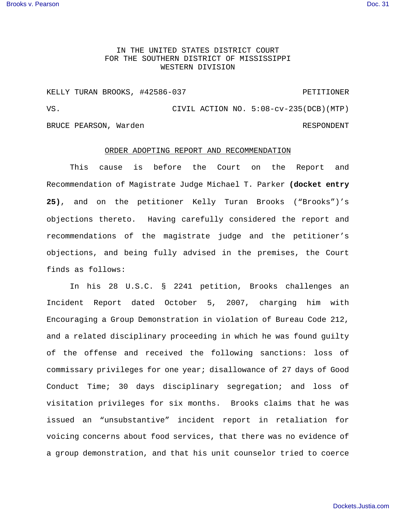## IN THE UNITED STATES DISTRICT COURT FOR THE SOUTHERN DISTRICT OF MISSISSIPPI WESTERN DIVISION

KELLY TURAN BROOKS, #42586-037 PETITIONER VS. CIVIL ACTION NO. 5:08-cv-235(DCB)(MTP) BRUCE PEARSON, Warden RESPONDENT

## ORDER ADOPTING REPORT AND RECOMMENDATION

This cause is before the Court on the Report and Recommendation of Magistrate Judge Michael T. Parker **(docket entry 25)**, and on the petitioner Kelly Turan Brooks ("Brooks")'s objections thereto. Having carefully considered the report and recommendations of the magistrate judge and the petitioner's objections, and being fully advised in the premises, the Court finds as follows:

In his 28 U.S.C. § 2241 petition, Brooks challenges an Incident Report dated October 5, 2007, charging him with Encouraging a Group Demonstration in violation of Bureau Code 212, and a related disciplinary proceeding in which he was found guilty of the offense and received the following sanctions: loss of commissary privileges for one year; disallowance of 27 days of Good Conduct Time; 30 days disciplinary segregation; and loss of visitation privileges for six months. Brooks claims that he was issued an "unsubstantive" incident report in retaliation for voicing concerns about food services, that there was no evidence of a group demonstration, and that his unit counselor tried to coerce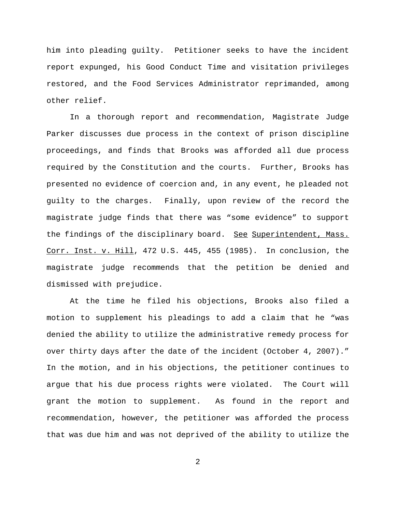him into pleading guilty. Petitioner seeks to have the incident report expunged, his Good Conduct Time and visitation privileges restored, and the Food Services Administrator reprimanded, among other relief.

In a thorough report and recommendation, Magistrate Judge Parker discusses due process in the context of prison discipline proceedings, and finds that Brooks was afforded all due process required by the Constitution and the courts. Further, Brooks has presented no evidence of coercion and, in any event, he pleaded not guilty to the charges. Finally, upon review of the record the magistrate judge finds that there was "some evidence" to support the findings of the disciplinary board. See Superintendent, Mass. Corr. Inst. v. Hill, 472 U.S. 445, 455 (1985). In conclusion, the magistrate judge recommends that the petition be denied and dismissed with prejudice.

At the time he filed his objections, Brooks also filed a motion to supplement his pleadings to add a claim that he "was denied the ability to utilize the administrative remedy process for over thirty days after the date of the incident (October 4, 2007)." In the motion, and in his objections, the petitioner continues to argue that his due process rights were violated. The Court will grant the motion to supplement. As found in the report and recommendation, however, the petitioner was afforded the process that was due him and was not deprived of the ability to utilize the

2